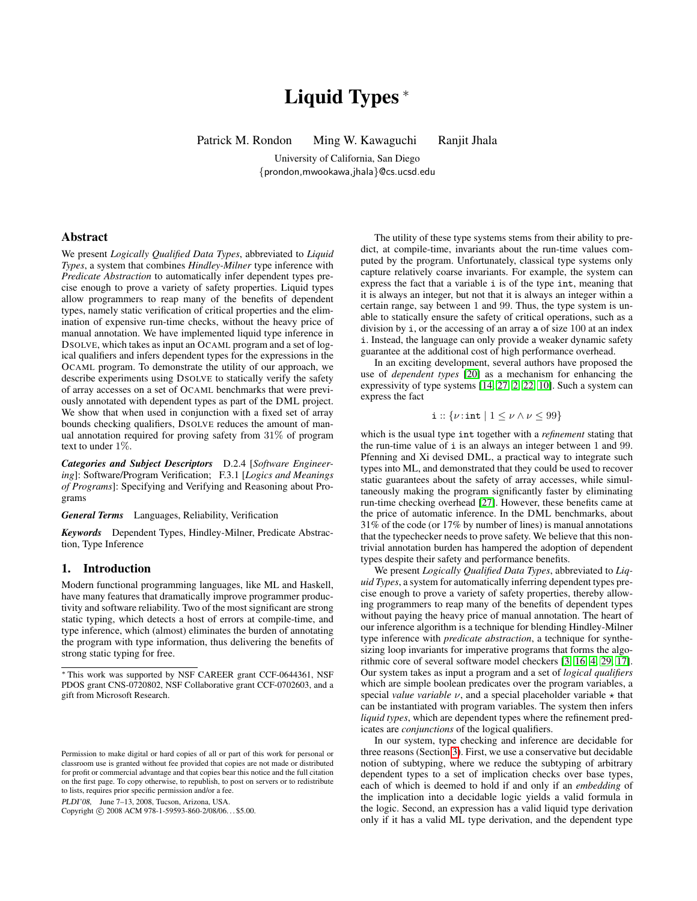# Liquid Types<sup>\*</sup>

Patrick M. Rondon Ming W. Kawaguchi Ranjit Jhala

University of California, San Diego {prondon,mwookawa,jhala}@cs.ucsd.edu

# Abstract

We present *Logically Qualified Data Types*, abbreviated to *Liquid Types*, a system that combines *Hindley-Milner* type inference with *Predicate Abstraction* to automatically infer dependent types precise enough to prove a variety of safety properties. Liquid types allow programmers to reap many of the benefits of dependent types, namely static verification of critical properties and the elimination of expensive run-time checks, without the heavy price of manual annotation. We have implemented liquid type inference in DSOLVE, which takes as input an OCAML program and a set of logical qualifiers and infers dependent types for the expressions in the OCAML program. To demonstrate the utility of our approach, we describe experiments using DSOLVE to statically verify the safety of array accesses on a set of OCAML benchmarks that were previously annotated with dependent types as part of the DML project. We show that when used in conjunction with a fixed set of array bounds checking qualifiers, DSOLVE reduces the amount of manual annotation required for proving safety from 31% of program text to under 1%.

*Categories and Subject Descriptors* D.2.4 [*Software Engineering*]: Software/Program Verification; F.3.1 [*Logics and Meanings of Programs*]: Specifying and Verifying and Reasoning about Programs

*General Terms* Languages, Reliability, Verification

*Keywords* Dependent Types, Hindley-Milner, Predicate Abstraction, Type Inference

# 1. Introduction

Modern functional programming languages, like ML and Haskell, have many features that dramatically improve programmer productivity and software reliability. Two of the most significant are strong static typing, which detects a host of errors at compile-time, and type inference, which (almost) eliminates the burden of annotating the program with type information, thus delivering the benefits of strong static typing for free.

PLDI'08, June 7–13, 2008, Tucson, Arizona, USA.

Copyright © 2008 ACM 978-1-59593-860-2/08/06...\$5.00.

The utility of these type systems stems from their ability to predict, at compile-time, invariants about the run-time values computed by the program. Unfortunately, classical type systems only capture relatively coarse invariants. For example, the system can express the fact that a variable i is of the type int, meaning that it is always an integer, but not that it is always an integer within a certain range, say between 1 and 99. Thus, the type system is unable to statically ensure the safety of critical operations, such as a division by i, or the accessing of an array a of size 100 at an index i. Instead, the language can only provide a weaker dynamic safety guarantee at the additional cost of high performance overhead.

In an exciting development, several authors have proposed the use of *dependent types* [\[20\]](#page-10-0) as a mechanism for enhancing the expressivity of type systems [\[14,](#page-10-1) [27,](#page-10-2) [2,](#page-10-3) [22,](#page-10-4) [10\]](#page-10-5). Such a system can express the fact

# i ::  $\{\nu : \text{int} \mid 1 \leq \nu \wedge \nu \leq 99\}$

which is the usual type int together with a *refinement* stating that the run-time value of i is an always an integer between 1 and 99. Pfenning and Xi devised DML, a practical way to integrate such types into ML, and demonstrated that they could be used to recover static guarantees about the safety of array accesses, while simultaneously making the program significantly faster by eliminating run-time checking overhead [\[27\]](#page-10-2). However, these benefits came at the price of automatic inference. In the DML benchmarks, about 31% of the code (or 17% by number of lines) is manual annotations that the typechecker needs to prove safety. We believe that this nontrivial annotation burden has hampered the adoption of dependent types despite their safety and performance benefits.

We present *Logically Qualified Data Types*, abbreviated to *Liquid Types*, a system for automatically inferring dependent types precise enough to prove a variety of safety properties, thereby allowing programmers to reap many of the benefits of dependent types without paying the heavy price of manual annotation. The heart of our inference algorithm is a technique for blending Hindley-Milner type inference with *predicate abstraction*, a technique for synthesizing loop invariants for imperative programs that forms the algorithmic core of several software model checkers [\[3,](#page-10-6) [16,](#page-10-7) [4,](#page-10-8) [29,](#page-10-9) [17\]](#page-10-10). Our system takes as input a program and a set of *logical qualifiers* which are simple boolean predicates over the program variables, a special *value variable*  $\nu$ , and a special placeholder variable  $\star$  that can be instantiated with program variables. The system then infers *liquid types*, which are dependent types where the refinement predicates are *conjunctions* of the logical qualifiers.

In our system, type checking and inference are decidable for three reasons (Section [3\)](#page-3-0). First, we use a conservative but decidable notion of subtyping, where we reduce the subtyping of arbitrary dependent types to a set of implication checks over base types, each of which is deemed to hold if and only if an *embedding* of the implication into a decidable logic yields a valid formula in the logic. Second, an expression has a valid liquid type derivation only if it has a valid ML type derivation, and the dependent type

<sup>∗</sup> This work was supported by NSF CAREER grant CCF-0644361, NSF PDOS grant CNS-0720802, NSF Collaborative grant CCF-0702603, and a gift from Microsoft Research.

Permission to make digital or hard copies of all or part of this work for personal or classroom use is granted without fee provided that copies are not made or distributed for profit or commercial advantage and that copies bear this notice and the full citation on the first page. To copy otherwise, to republish, to post on servers or to redistribute to lists, requires prior specific permission and/or a fee.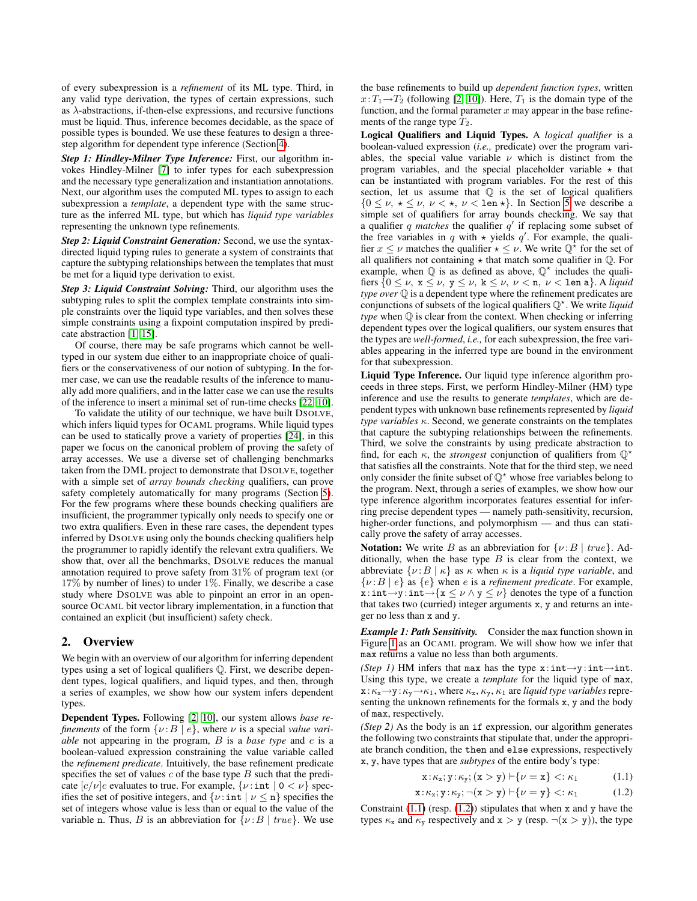of every subexpression is a *refinement* of its ML type. Third, in any valid type derivation, the types of certain expressions, such as  $\lambda$ -abstractions, if-then-else expressions, and recursive functions must be liquid. Thus, inference becomes decidable, as the space of possible types is bounded. We use these features to design a threestep algorithm for dependent type inference (Section [4\)](#page-6-0).

*Step 1: Hindley-Milner Type Inference:* First, our algorithm invokes Hindley-Milner [\[7\]](#page-10-11) to infer types for each subexpression and the necessary type generalization and instantiation annotations. Next, our algorithm uses the computed ML types to assign to each subexpression a *template*, a dependent type with the same structure as the inferred ML type, but which has *liquid type variables* representing the unknown type refinements.

*Step 2: Liquid Constraint Generation:* Second, we use the syntaxdirected liquid typing rules to generate a system of constraints that capture the subtyping relationships between the templates that must be met for a liquid type derivation to exist.

*Step 3: Liquid Constraint Solving:* Third, our algorithm uses the subtyping rules to split the complex template constraints into simple constraints over the liquid type variables, and then solves these simple constraints using a fixpoint computation inspired by predicate abstraction [\[1,](#page-10-12) [15\]](#page-10-13).

Of course, there may be safe programs which cannot be welltyped in our system due either to an inappropriate choice of qualifiers or the conservativeness of our notion of subtyping. In the former case, we can use the readable results of the inference to manually add more qualifiers, and in the latter case we can use the results of the inference to insert a minimal set of run-time checks [\[22,](#page-10-4) [10\]](#page-10-5).

To validate the utility of our technique, we have built DSOLVE, which infers liquid types for OCAML programs. While liquid types can be used to statically prove a variety of properties [\[24\]](#page-10-14), in this paper we focus on the canonical problem of proving the safety of array accesses. We use a diverse set of challenging benchmarks taken from the DML project to demonstrate that DSOLVE, together with a simple set of *array bounds checking* qualifiers, can prove safety completely automatically for many programs (Section [5\)](#page-8-0). For the few programs where these bounds checking qualifiers are insufficient, the programmer typically only needs to specify one or two extra qualifiers. Even in these rare cases, the dependent types inferred by DSOLVE using only the bounds checking qualifiers help the programmer to rapidly identify the relevant extra qualifiers. We show that, over all the benchmarks, DSOLVE reduces the manual annotation required to prove safety from 31% of program text (or 17% by number of lines) to under 1%. Finally, we describe a case study where DSOLVE was able to pinpoint an error in an opensource OCAML bit vector library implementation, in a function that contained an explicit (but insufficient) safety check.

# <span id="page-1-2"></span>2. Overview

We begin with an overview of our algorithm for inferring dependent types using a set of logical qualifiers Q. First, we describe dependent types, logical qualifiers, and liquid types, and then, through a series of examples, we show how our system infers dependent types.

Dependent Types. Following [\[2,](#page-10-3) [10\]](#page-10-5), our system allows *base refinements* of the form  $\{v : B \mid e\}$ , where  $v$  is a special value vari*able* not appearing in the program, B is a *base type* and e is a boolean-valued expression constraining the value variable called the *refinement predicate*. Intuitively, the base refinement predicate specifies the set of values  $c$  of the base type  $B$  such that the predicate  $\left| c/\nu \right|$  evaluates to true. For example,  $\{ \nu : \text{int} \mid 0 \lt \nu \}$  specifies the set of positive integers, and  $\{v : \text{int} \mid v \leq n\}$  specifies the set of integers whose value is less than or equal to the value of the variable n. Thus, B is an abbreviation for  $\{\nu : B \mid true\}$ . We use the base refinements to build up *dependent function types*, written  $x: T_1 \rightarrow T_2$  (following [\[2,](#page-10-3) [10\]](#page-10-5)). Here,  $T_1$  is the domain type of the function, and the formal parameter  $x$  may appear in the base refinements of the range type  $T_2$ .

Logical Qualifiers and Liquid Types. A *logical qualifier* is a boolean-valued expression (*i.e.,* predicate) over the program variables, the special value variable  $\nu$  which is distinct from the program variables, and the special placeholder variable  $\star$  that can be instantiated with program variables. For the rest of this section, let us assume that  $\mathbb Q$  is the set of logical qualifiers  ${0 \leq \nu, \star \leq \nu, \nu < \star, \nu < \text{len } \star\}.$  In Section [5](#page-8-0) we describe a simple set of qualifiers for array bounds checking. We say that a qualifier  $q$  matches the qualifier  $q'$  if replacing some subset of the free variables in q with  $\star$  yields q'. For example, the qualifier  $x \leq \nu$  matches the qualifier  $\star \leq \nu$ . We write  $\mathbb{Q}^*$  for the set of all qualifiers not containing  $\star$  that match some qualifier in  $\mathbb Q$ . For example, when  $\mathbb Q$  is as defined as above,  $\mathbb Q^*$  includes the qualifiers  $\{0 \leq \nu, x \leq \nu, y \leq \nu, k \leq \nu, \nu < n, \nu < \text{len } a\}$ . A *liquid type over*  $\mathbb Q$  is a dependent type where the refinement predicates are conjunctions of subsets of the logical qualifiers Q ? . We write *liquid type* when Q is clear from the context. When checking or inferring dependent types over the logical qualifiers, our system ensures that the types are *well-formed*, *i.e.,* for each subexpression, the free variables appearing in the inferred type are bound in the environment for that subexpression.

Liquid Type Inference. Our liquid type inference algorithm proceeds in three steps. First, we perform Hindley-Milner (HM) type inference and use the results to generate *templates*, which are dependent types with unknown base refinements represented by *liquid type variables* κ. Second, we generate constraints on the templates that capture the subtyping relationships between the refinements. Third, we solve the constraints by using predicate abstraction to find, for each  $\kappa$ , the *strongest* conjunction of qualifiers from  $\mathbb{Q}^*$ that satisfies all the constraints. Note that for the third step, we need only consider the finite subset of  $\mathbb{Q}^*$  whose free variables belong to the program. Next, through a series of examples, we show how our type inference algorithm incorporates features essential for inferring precise dependent types — namely path-sensitivity, recursion, higher-order functions, and polymorphism — and thus can statically prove the safety of array accesses.

Notation: We write B as an abbreviation for  $\{\nu : B \mid true\}$ . Additionally, when the base type  $B$  is clear from the context, we abbreviate  $\{v : B | \kappa\}$  as  $\kappa$  when  $\kappa$  is a *liquid type variable*, and  $\{\nu : B \mid e\}$  as  $\{e\}$  when *e* is a *refinement predicate*. For example,  $x: \text{int} \rightarrow y: \text{int} \rightarrow \{x \leq \nu \land y \leq \nu\}$  denotes the type of a function that takes two (curried) integer arguments x, y and returns an integer no less than x and y.

*Example 1: Path Sensitivity.* Consider the max function shown in Figure [1](#page-2-0) as an OCAML program. We will show how we infer that max returns a value no less than both arguments.

*(Step 1)* HM infers that max has the type  $x:int\rightarrow y:int\rightarrow int$ . Using this type, we create a *template* for the liquid type of max,  $x:\kappa_x\rightarrow y:\kappa_y\rightarrow\kappa_1$ , where  $\kappa_x,\kappa_y,\kappa_1$  are *liquid type variables* representing the unknown refinements for the formals x, y and the body of max, respectively.

*(Step 2)* As the body is an if expression, our algorithm generates the following two constraints that stipulate that, under the appropriate branch condition, the then and else expressions, respectively x, y, have types that are *subtypes* of the entire body's type:

<span id="page-1-1"></span><span id="page-1-0"></span>
$$
\mathbf{x} \colon \kappa_{\mathbf{x}}; \mathbf{y} \colon \kappa_{\mathbf{y}}; (\mathbf{x} > \mathbf{y}) \vdash \{\nu = \mathbf{x}\} <: \kappa_1 \tag{1.1}
$$

$$
\mathbf{x} : \kappa_{\mathbf{x}}; \mathbf{y} : \kappa_{\mathbf{y}}; \neg(\mathbf{x} > \mathbf{y}) \vdash \{\nu = \mathbf{y}\} <: \kappa_1 \tag{1.2}
$$

Constraint  $(1.1)$  (resp.  $(1.2)$ ) stipulates that when x and y have the types  $\kappa_x$  and  $\kappa_y$  respectively and  $x > y$  (resp.  $\neg(x > y)$ ), the type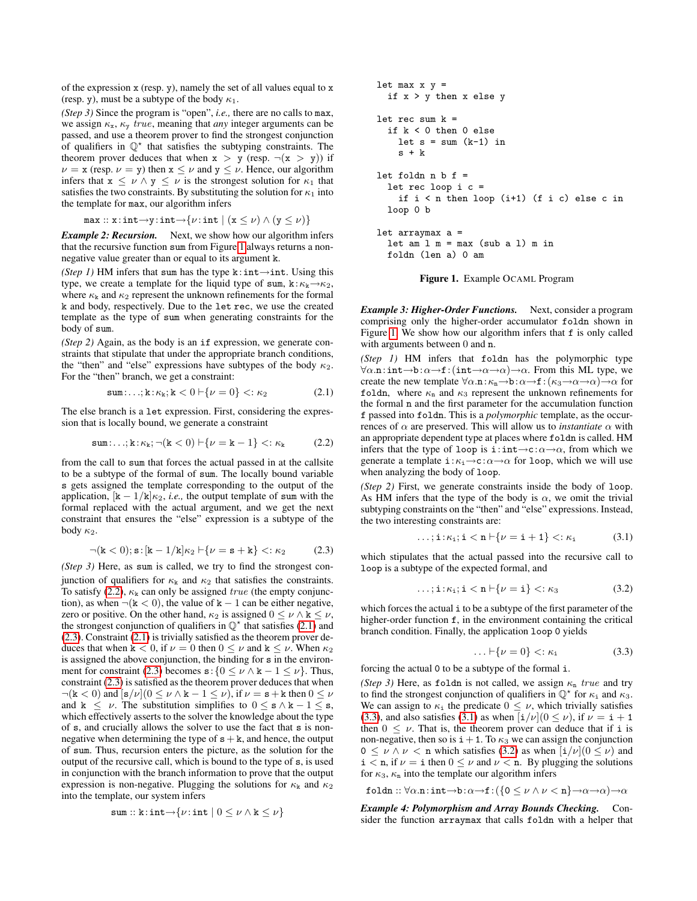of the expression x (resp. y), namely the set of all values equal to x (resp. y), must be a subtype of the body  $\kappa_1$ .

*(Step 3)* Since the program is "open", *i.e.,* there are no calls to max, we assign  $\kappa_{x}$ ,  $\kappa_{y}$  *true*, meaning that *any* integer arguments can be passed, and use a theorem prover to find the strongest conjunction of qualifiers in  $\mathbb{Q}^*$  that satisfies the subtyping constraints. The theorem prover deduces that when  $x > y$  (resp.  $\neg(x > y)$ ) if  $\nu = x$  (resp.  $\nu = y$ ) then  $x \le \nu$  and  $y \le \nu$ . Hence, our algorithm infers that  $x \le \nu \wedge y \le \nu$  is the strongest solution for  $\kappa_1$  that satisfies the two constraints. By substituting the solution for  $\kappa_1$  into the template for max, our algorithm infers

$$
\mathtt{max} :: \mathtt{x} : \mathtt{int} {\rightarrow} \mathtt{y} : \mathtt{int} {\rightarrow} \{\nu : \mathtt{int} \mid (\mathtt{x} \leq \nu) \wedge (\mathtt{y} \leq \nu)\}
$$

*Example 2: Recursion.* Next, we show how our algorithm infers that the recursive function sum from Figure [1](#page-2-0) always returns a nonnegative value greater than or equal to its argument k.

*(Step 1)* HM infers that sum has the type k:int→int. Using this type, we create a template for the liquid type of sum,  $k:\kappa_k\rightarrow \kappa_2$ , where  $\kappa_{\rm k}$  and  $\kappa_{\rm 2}$  represent the unknown refinements for the formal k and body, respectively. Due to the let rec, we use the created template as the type of sum when generating constraints for the body of sum.

*(Step 2)* Again, as the body is an if expression, we generate constraints that stipulate that under the appropriate branch conditions, the "then" and "else" expressions have subtypes of the body  $\kappa_2$ . For the "then" branch, we get a constraint:

$$
\texttt{sum}:\ldots;\mathbf{k}:\kappa_{\mathbf{k}};\mathbf{k}<0\vdash\{\nu=0\}\lt\ldots\lt\kappa_2\tag{2.1}
$$

The else branch is a let expression. First, considering the expression that is locally bound, we generate a constraint

$$
\texttt{sum}:\ldots;\mathbf{k}:\kappa_{\mathbf{k}};\neg(\mathbf{k}<0)\vdash\{\nu=\mathbf{k}-1\}\lt\colon\kappa_{\mathbf{k}}\tag{2.2}
$$

from the call to sum that forces the actual passed in at the callsite to be a subtype of the formal of sum. The locally bound variable s gets assigned the template corresponding to the output of the application,  $[k - 1/k] \kappa_2$ , *i.e.*, the output template of sum with the formal replaced with the actual argument, and we get the next constraint that ensures the "else" expression is a subtype of the body  $\kappa_2$ .

$$
\neg(\mathbf{k} < 0); \mathbf{s} : [\mathbf{k} - 1/\mathbf{k}] \kappa_2 \vdash \{\nu = \mathbf{s} + \mathbf{k}\} <: \kappa_2 \tag{2.3}
$$

*(Step 3)* Here, as sum is called, we try to find the strongest conjunction of qualifiers for  $\kappa_k$  and  $\kappa_2$  that satisfies the constraints. To satisfy [\(2.2\)](#page-2-1),  $\kappa_k$  can only be assigned *true* (the empty conjunction), as when  $\neg$ ( $k < 0$ ), the value of  $k - 1$  can be either negative, zero or positive. On the other hand,  $\kappa_2$  is assigned  $0 \leq \nu \wedge k \leq \nu$ , the strongest conjunction of qualifiers in  $\mathbb{Q}^*$  that satisfies [\(2.1\)](#page-2-2) and [\(2.3\)](#page-2-3). Constraint [\(2.1\)](#page-2-2) is trivially satisfied as the theorem prover deduces that when  $k < 0$ , if  $\nu = 0$  then  $0 \leq \nu$  and  $k \leq \nu$ . When  $\kappa_2$ is assigned the above conjunction, the binding for s in the environ-ment for constraint [\(2.3\)](#page-2-3) becomes  $s: \{0 \le \nu \land k - 1 \le \nu\}$ . Thus, constraint [\(2.3\)](#page-2-3) is satisfied as the theorem prover deduces that when  $\neg$ (k < 0) and  $[s/\nu](0 \leq \nu \wedge k - 1 \leq \nu)$ , if  $\nu = s + k$  then  $0 \leq \nu$ and  $k \leq \nu$ . The substitution simplifies to  $0 \leq s \wedge k - 1 \leq s$ , which effectively asserts to the solver the knowledge about the type of s, and crucially allows the solver to use the fact that s is nonnegative when determining the type of  $s + k$ , and hence, the output of sum. Thus, recursion enters the picture, as the solution for the output of the recursive call, which is bound to the type of s, is used in conjunction with the branch information to prove that the output expression is non-negative. Plugging the solutions for  $\kappa_k$  and  $\kappa_2$ into the template, our system infers

$$
\mathtt{sum} :: \mathtt{k} : \mathtt{int} \rightarrow \{\nu : \mathtt{int} \mid 0 \leq \nu \wedge \mathtt{k} \leq \nu\}
$$

let max x y = if x > y then x else y let rec sum k = if k < 0 then 0 else let s = sum (k-1) in s + k let foldn n b f = let rec loop i c = if i < n then loop (i+1) (f i c) else c in loop 0 b let arraymax a = let am l m = max (sub a l) m in foldn (len a) 0 am Figure 1. Example OCAML Program

<span id="page-2-0"></span>*Example 3: Higher-Order Functions.* Next, consider a program comprising only the higher-order accumulator foldn shown in Figure [1.](#page-2-0) We show how our algorithm infers that f is only called

with arguments between 0 and n.

<span id="page-2-2"></span>*(Step 1)* HM infers that foldn has the polymorphic type  $\forall \alpha \ldots$  int→b: $\alpha \rightarrow f$ : (int→ $\alpha \rightarrow \alpha$ )→ $\alpha$ . From this ML type, we create the new template  $\forall \alpha \cdot \mathbf{n} : \kappa_{\mathbf{n}} \to \mathbf{b} : \alpha \to \mathbf{f} : (\kappa_3 \to \alpha \to \alpha) \to \alpha$  for foldn, where  $\kappa_n$  and  $\kappa_3$  represent the unknown refinements for the formal n and the first parameter for the accumulation function f passed into foldn. This is a *polymorphic* template, as the occurrences of  $\alpha$  are preserved. This will allow us to *instantiate*  $\alpha$  with an appropriate dependent type at places where foldn is called. HM infers that the type of loop is i:int→c: $\alpha \rightarrow \alpha$ , from which we generate a template  $i:\kappa_i\to c:\alpha\to\alpha$  for loop, which we will use when analyzing the body of loop.

<span id="page-2-1"></span>*(Step 2)* First, we generate constraints inside the body of loop. As HM infers that the type of the body is  $\alpha$ , we omit the trivial subtyping constraints on the "then" and "else" expressions. Instead, the two interesting constraints are:

<span id="page-2-5"></span>
$$
\ldots; \mathbf{i} : \kappa_{\mathbf{i}}; \mathbf{i} < \mathbf{n} \vdash \{\nu = \mathbf{i} + \mathbf{1}\} <: \kappa_{\mathbf{i}} \tag{3.1}
$$

<span id="page-2-3"></span>which stipulates that the actual passed into the recursive call to loop is a subtype of the expected formal, and

$$
\ldots; \mathbf{i} : \kappa_{\mathbf{i}}; \mathbf{i} < \mathbf{n} \vdash \{\nu = \mathbf{i}\} <: \kappa_3 \tag{3.2}
$$

which forces the actual i to be a subtype of the first parameter of the higher-order function f, in the environment containing the critical branch condition. Finally, the application loop 0 yields

<span id="page-2-6"></span><span id="page-2-4"></span>
$$
\ldots \vdash \{\nu = 0\} < : \kappa_i \tag{3.3}
$$

forcing the actual 0 to be a subtype of the formal i.

*(Step 3)* Here, as foldn is not called, we assign  $\kappa_n$  true and try to find the strongest conjunction of qualifiers in  $\mathbb{Q}^*$  for  $\kappa_1$  and  $\kappa_3$ . We can assign to  $\kappa_i$  the predicate  $0 \leq \nu$ , which trivially satisfies [\(3.3\)](#page-2-4), and also satisfies [\(3.1\)](#page-2-5) as when  $\left[\frac{i}{\nu}\right](0 \le \nu)$ , if  $\nu = i + 1$ then  $0 \leq \nu$ . That is, the theorem prover can deduce that if i is non-negative, then so is  $i+1$ . To  $\kappa_3$  we can assign the conjunction  $0 \leq \nu \wedge \nu <$  n which satisfies [\(3.2\)](#page-2-6) as when  $[i/\nu](0 \leq \nu)$  and  $i < n$ , if  $\nu = i$  then  $0 \le \nu$  and  $\nu < n$ . By plugging the solutions for  $\kappa_3$ ,  $\kappa_n$  into the template our algorithm infers

$$
\mathtt{foldn}::\forall \alpha.\mathtt{n}: \mathtt{int} \mathord{\rightarrow} \mathtt{b}: \alpha \mathord{\rightarrow} \mathtt{f}: (\{ \mathtt{0} \leq \nu \wedge \nu < \mathtt{n} \} \mathord{\rightarrow} \alpha \mathord{\rightarrow} \alpha) \mathord{\rightarrow} \alpha
$$

*Example 4: Polymorphism and Array Bounds Checking.* Consider the function arraymax that calls foldn with a helper that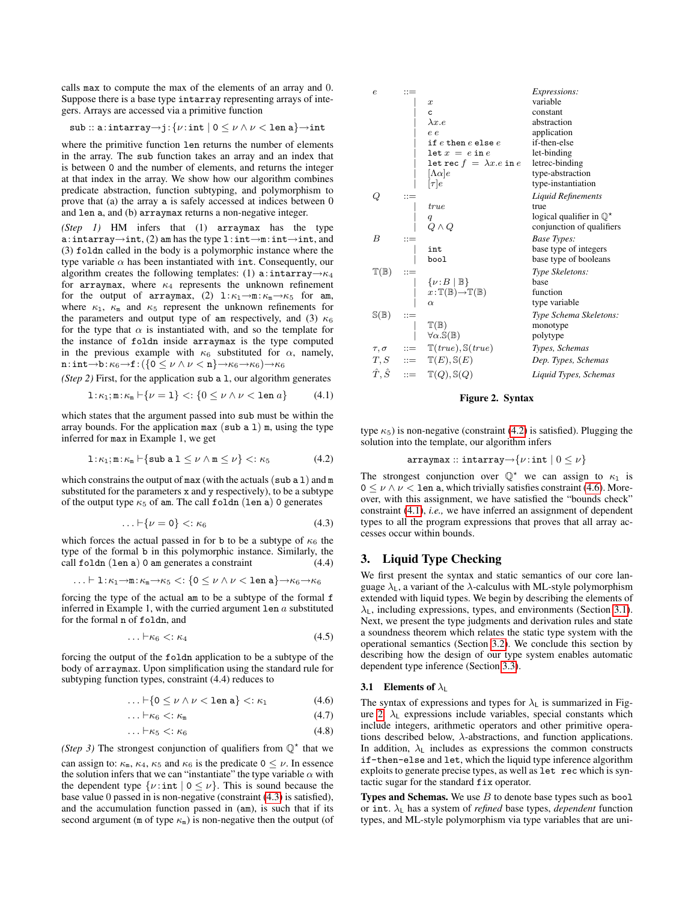calls max to compute the max of the elements of an array and 0. Suppose there is a base type intarray representing arrays of integers. Arrays are accessed via a primitive function

$$
\mathtt{sub::a:intarray} \negthinspace \rightarrow \negthinspace \mathtt{j} \colon \! \{ \nu \colon \mathtt{int} \mid 0 \leq \nu \wedge \nu < \mathtt{len} \ \mathtt{a} \} \negthinspace \rightarrow \negthinspace \mathtt{int}
$$

where the primitive function len returns the number of elements in the array. The sub function takes an array and an index that is between 0 and the number of elements, and returns the integer at that index in the array. We show how our algorithm combines predicate abstraction, function subtyping, and polymorphism to prove that (a) the array a is safely accessed at indices between 0 and len a, and (b) arraymax returns a non-negative integer.

*(Step 1)* HM infers that (1) arraymax has the type a:intarray→int, (2) am has the type l:int→m:int→int, and (3) foldn called in the body is a polymorphic instance where the type variable  $\alpha$  has been instantiated with int. Consequently, our algorithm creates the following templates: (1) a:intarray→ $\kappa_4$ for arraymax, where  $\kappa_4$  represents the unknown refinement for the output of arraymax, (2)  $1:\kappa_1\rightarrow m:\kappa_m\rightarrow\kappa_5$  for am, where  $\kappa_1$ ,  $\kappa_m$  and  $\kappa_5$  represent the unknown refinements for the parameters and output type of am respectively, and (3)  $\kappa_6$ for the type that  $\alpha$  is instantiated with, and so the template for the instance of foldn inside arraymax is the type computed in the previous example with  $\kappa_6$  substituted for  $\alpha$ , namely, n:int→b: $\kappa_6$ →f: ({0 ≤  $\nu \wedge \nu$  < n}→ $\kappa_6$ → $\kappa_6$ )→ $\kappa_6$ 

*(Step 2)* First, for the application sub a l, our algorithm generates

$$
1:\kappa_1;\mathfrak{m}:\kappa_\mathfrak{m}\vdash \{\nu=1\} <:\{0\leq \nu\wedge \nu<\text{len }a\}\qquad(4.1)
$$

which states that the argument passed into sub must be within the array bounds. For the application max  $(\text{sub a 1})$  m, using the type inferred for max in Example 1, we get

$$
1: \kappa_1; \mathbf{m}: \kappa_\mathbf{m} \vdash \{ \text{sub } \mathbf{a} \ 1 \leq \nu \land \mathbf{m} \leq \nu \} \mathrel{<:} \kappa_5 \tag{4.2}
$$

which constrains the output of max (with the actuals (sub  $a 1$ ) and m substituted for the parameters x and y respectively), to be a subtype of the output type  $\kappa_5$  of am. The call foldn (len a) 0 generates

<span id="page-3-1"></span>
$$
\ldots \vdash \{\nu = 0\} <: \kappa_6 \tag{4.3}
$$

which forces the actual passed in for b to be a subtype of  $\kappa_6$  the type of the formal b in this polymorphic instance. Similarly, the call foldn (len a) 0 am generates a constraint (4.4)

$$
\ldots \vdash 1{:}\kappa_1{\to} \mathtt{m}{:}\kappa_\mathtt{m}{\to}\kappa_5 <: \{\mathtt{0} \leq \nu \wedge \nu < \mathtt{len a}\} {\to}\kappa_6{\to}\kappa_6
$$

forcing the type of the actual am to be a subtype of the formal f inferred in Example 1, with the curried argument  $\text{len } a$  substituted for the formal n of foldn, and

$$
\ldots \vdash \kappa_6 <: \kappa_4 \tag{4.5}
$$

forcing the output of the foldn application to be a subtype of the body of arraymax. Upon simplification using the standard rule for subtyping function types, constraint (4.4) reduces to

$$
\ldots \vdash \{0 \leq \nu \wedge \nu < \texttt{len a}\} < \kappa_1 \tag{4.6}
$$

<span id="page-3-8"></span><span id="page-3-7"></span>
$$
\ldots \vdash \kappa_6 <: \kappa_{\mathtt{m}} \tag{4.7}
$$

$$
\ldots \vdash \kappa_5 <: \kappa_6 \tag{4.8}
$$

(Step 3) The strongest conjunction of qualifiers from  $\mathbb{Q}^*$  that we

can assign to:  $\kappa_m$ ,  $\kappa_4$ ,  $\kappa_5$  and  $\kappa_6$  is the predicate  $0 \leq \nu$ . In essence the solution infers that we can "instantiate" the type variable  $\alpha$  with the dependent type  $\{v : \text{int} \mid 0 \le v\}$ . This is sound because the base value 0 passed in is non-negative (constraint [\(4.3\)](#page-3-1) is satisfied), and the accumulation function passed in (am), is such that if its second argument (m of type  $\kappa$ <sub>m</sub>) is non-negative then the output (of

| $\epsilon$               | $::=$ |                                                                    | <i>Expressions:</i>                 |
|--------------------------|-------|--------------------------------------------------------------------|-------------------------------------|
|                          |       | $\boldsymbol{x}$                                                   | variable                            |
|                          |       | c                                                                  | constant                            |
|                          |       | $\lambda x.e$                                                      | abstraction                         |
|                          |       | e e                                                                | application                         |
|                          |       | if $e$ then $e$ else $e$                                           | if-then-else                        |
|                          |       | $\det x = e \text{ in } e$                                         | let-binding                         |
|                          |       | let rec $f = \lambda x.e$ in $e$                                   | letrec-binding                      |
|                          |       | $ \Lambda\alpha e$                                                 | type-abstraction                    |
|                          |       | $[\tau]e$                                                          | type-instantiation                  |
| Q                        | $::=$ |                                                                    | Liquid Refinements                  |
|                          |       | true                                                               | true                                |
|                          |       | q                                                                  | logical qualifier in $\mathbb{Q}^*$ |
|                          |       | $Q \wedge Q$                                                       | conjunction of qualifiers           |
| B                        | $::=$ |                                                                    | Base Types:                         |
|                          |       | int                                                                | base type of integers               |
|                          |       | bool                                                               | base type of booleans               |
| $\mathbb{T}(\mathbb{B})$ |       |                                                                    | Type Skeletons:                     |
|                          |       | $\{\nu\colon\! B\mid\mathbb{B}\}$                                  | base                                |
|                          |       | $x:\mathbb{T}(\mathbb{B})\rightarrow\mathbb{T}(\mathbb{B})$        | function                            |
|                          |       | $\alpha$                                                           | type variable                       |
| $\mathbb{S}(\mathbb{B})$ | $::=$ |                                                                    | Type Schema Skeletons:              |
|                          |       | $\mathbb{T}(\mathbb{B})$                                           | monotype                            |
|                          |       | $\forall \alpha. \mathbb{S}(\mathbb{B})$                           | polytype                            |
|                          |       | $\tau, \sigma \qquad ::= \quad \mathbb{T}(true), \mathbb{S}(true)$ | Types, Schemas                      |
|                          |       | $T, S$ ::= $\mathbb{T}(E), \mathbb{S}(E)$                          | Dep. Types, Schemas                 |
|                          |       | $\hat{T}, \hat{S}$ ::= $\mathbb{T}(Q), \mathbb{S}(Q)$              | Liquid Types, Schemas               |
|                          |       |                                                                    |                                     |

### <span id="page-3-6"></span>Figure 2. Syntax

<span id="page-3-4"></span><span id="page-3-2"></span>type  $\kappa_5$ ) is non-negative (constraint [\(4.2\)](#page-3-2) is satisfied). Plugging the solution into the template, our algorithm infers

$$
\texttt{array}::\texttt{intarray}{}\mathord{\rightarrow}\{\nu\!:\texttt{int}\mid 0\leq\nu\}
$$

The strongest conjunction over  $\mathbb{Q}^*$  we can assign to  $\kappa_1$  is  $0 \leq \nu \wedge \nu < 1$ en a, which trivially satisfies constraint [\(4.6\)](#page-3-3). Moreover, with this assignment, we have satisfied the "bounds check" constraint [\(4.1\)](#page-3-4), *i.e.,* we have inferred an assignment of dependent types to all the program expressions that proves that all array accesses occur within bounds.

### <span id="page-3-0"></span>3. Liquid Type Checking

We first present the syntax and static semantics of our core language  $\lambda_L$ , a variant of the  $\lambda$ -calculus with ML-style polymorphism extended with liquid types. We begin by describing the elements of  $\lambda_1$ , including expressions, types, and environments (Section [3.1\)](#page-3-5). Next, we present the type judgments and derivation rules and state a soundness theorem which relates the static type system with the operational semantics (Section [3.2\)](#page-4-0). We conclude this section by describing how the design of our type system enables automatic dependent type inference (Section [3.3\)](#page-4-1).

### <span id="page-3-5"></span>3.1 Elements of  $\lambda_L$

<span id="page-3-3"></span>The syntax of expressions and types for  $\lambda_L$  is summarized in Fig-ure [2.](#page-3-6)  $\lambda_L$  expressions include variables, special constants which include integers, arithmetic operators and other primitive operations described below, λ-abstractions, and function applications. In addition,  $\lambda_L$  includes as expressions the common constructs if-then-else and let, which the liquid type inference algorithm exploits to generate precise types, as well as let rec which is syntactic sugar for the standard fix operator.

**Types and Schemas.** We use  $B$  to denote base types such as bool or int.  $\lambda_L$  has a system of *refined* base types, *dependent* function types, and ML-style polymorphism via type variables that are uni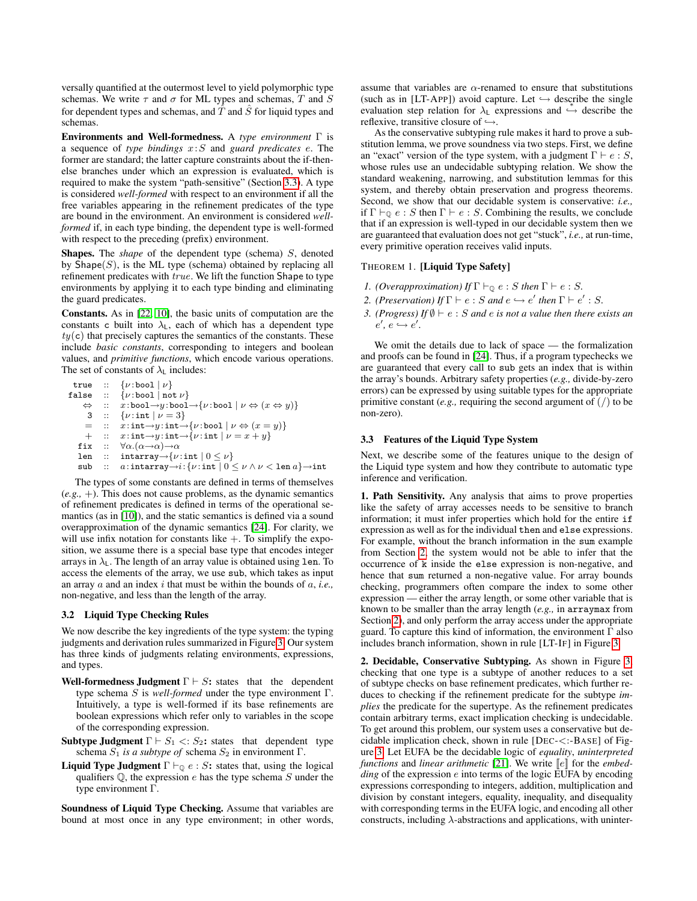versally quantified at the outermost level to yield polymorphic type schemas. We write  $\tau$  and  $\sigma$  for ML types and schemas, T and S for dependent types and schemas, and  $\hat{T}$  and  $\hat{S}$  for liquid types and schemas.

Environments and Well-formedness. A *type environment* Γ is a sequence of *type bindings* x:S and *guard predicates* e. The former are standard; the latter capture constraints about the if-thenelse branches under which an expression is evaluated, which is required to make the system "path-sensitive" (Section [3.3\)](#page-4-1). A type is considered *well-formed* with respect to an environment if all the free variables appearing in the refinement predicates of the type are bound in the environment. An environment is considered *wellformed* if, in each type binding, the dependent type is well-formed with respect to the preceding (prefix) environment.

Shapes. The *shape* of the dependent type (schema) S, denoted by  $\text{Shape}(S)$ , is the ML type (schema) obtained by replacing all refinement predicates with true. We lift the function Shape to type environments by applying it to each type binding and eliminating the guard predicates.

Constants. As in [\[22,](#page-10-4) [10\]](#page-10-5), the basic units of computation are the constants c built into  $\lambda_L$ , each of which has a dependent type  $ty(c)$  that precisely captures the semantics of the constants. These include *basic constants*, corresponding to integers and boolean values, and *primitive functions*, which encode various operations. The set of constants of  $\lambda_L$  includes:

true :: {ν :bool | ν} false :: {ν :bool | not ν} ⇔ :: x:bool→y :bool→{ν :bool | ν ⇔ (x ⇔ y)} 3 :: {ν :int | ν = 3} = :: x:int→y :int→{ν :bool | ν ⇔ (x = y)} + :: x:int→y :int→{ν :int | ν = x + y} fix :: ∀α.(α→α)→α len :: intarray→{ν :int | 0 ≤ ν} sub :: a:intarray→i:{ν :int | 0 ≤ ν ∧ ν < len a}→int

The types of some constants are defined in terms of themselves (*e.g.,* +). This does not cause problems, as the dynamic semantics of refinement predicates is defined in terms of the operational semantics (as in [\[10\]](#page-10-5)), and the static semantics is defined via a sound overapproximation of the dynamic semantics [\[24\]](#page-10-14). For clarity, we will use infix notation for constants like  $+$ . To simplify the exposition, we assume there is a special base type that encodes integer arrays in  $\lambda_L$ . The length of an array value is obtained using len. To access the elements of the array, we use sub, which takes as input an array a and an index i that must be within the bounds of a, *i.e.,* non-negative, and less than the length of the array.

### <span id="page-4-0"></span>3.2 Liquid Type Checking Rules

We now describe the key ingredients of the type system: the typing judgments and derivation rules summarized in Figure [3.](#page-5-0) Our system has three kinds of judgments relating environments, expressions, and types.

- Well-formedness Judgment  $\Gamma \vdash S$ : states that the dependent type schema S is *well-formed* under the type environment Γ. Intuitively, a type is well-formed if its base refinements are boolean expressions which refer only to variables in the scope of the corresponding expression.
- Subtype Judgment  $\Gamma \vdash S_1 \langle S_2 : S_2 : S_3 \rangle$  that dependent type schema  $S_1$  *is a subtype of* schema  $S_2$  in environment  $\Gamma$ .
- **Liquid Type Judgment**  $\Gamma \vdash_{\mathbb{Q}} e : S$ : states that, using the logical qualifiers  $\mathbb{Q}$ , the expression e has the type schema S under the type environment Γ.

Soundness of Liquid Type Checking. Assume that variables are bound at most once in any type environment; in other words,

assume that variables are  $\alpha$ -renamed to ensure that substitutions (such as in [LT-APP]) avoid capture. Let  $\hookrightarrow$  describe the single evaluation step relation for  $\lambda_L$  expressions and  $\stackrel{\sim}{\rightarrow}$  describe the reflexive, transitive closure of  $\hookrightarrow$ .

As the conservative subtyping rule makes it hard to prove a substitution lemma, we prove soundness via two steps. First, we define an "exact" version of the type system, with a judgment  $\Gamma \vdash e : S$ , whose rules use an undecidable subtyping relation. We show the standard weakening, narrowing, and substitution lemmas for this system, and thereby obtain preservation and progress theorems. Second, we show that our decidable system is conservative: *i.e.,* if  $\Gamma \vdash_{\mathbb{Q}} e : S$  then  $\Gamma \vdash e : S$ . Combining the results, we conclude that if an expression is well-typed in our decidable system then we are guaranteed that evaluation does not get "stuck", *i.e.,* at run-time, every primitive operation receives valid inputs.

## <span id="page-4-2"></span>THEOREM 1. [Liquid Type Safety]

- *1. (Overapproximation) If*  $\Gamma \vdash_{\mathbb{Q}} e : S$  *then*  $\Gamma \vdash e : S$ *.*
- *2. (Preservation) If*  $\Gamma \vdash e : S$  *and*  $e \hookrightarrow e'$  *then*  $\Gamma \vdash e' : S$ *.*
- *3. (Progress)* If  $\emptyset \vdash e : S$  *and e is not a value then there exists an*  $e', e \hookrightarrow e'.$

We omit the details due to lack of space — the formalization and proofs can be found in [\[24\]](#page-10-14). Thus, if a program typechecks we are guaranteed that every call to sub gets an index that is within the array's bounds. Arbitrary safety properties (*e.g.,* divide-by-zero errors) can be expressed by using suitable types for the appropriate primitive constant (*e.g.*, requiring the second argument of  $\binom{7}{1}$  to be non-zero).

### <span id="page-4-1"></span>3.3 Features of the Liquid Type System

Next, we describe some of the features unique to the design of the Liquid type system and how they contribute to automatic type inference and verification.

1. Path Sensitivity. Any analysis that aims to prove properties like the safety of array accesses needs to be sensitive to branch information; it must infer properties which hold for the entire if expression as well as for the individual then and else expressions. For example, without the branch information in the sum example from Section [2,](#page-1-2) the system would not be able to infer that the occurrence of k inside the else expression is non-negative, and hence that sum returned a non-negative value. For array bounds checking, programmers often compare the index to some other expression — either the array length, or some other variable that is known to be smaller than the array length (*e.g.,* in arraymax from Section [2\)](#page-1-2), and only perform the array access under the appropriate guard. To capture this kind of information, the environment  $\Gamma$  also includes branch information, shown in rule [LT-IF] in Figure [3.](#page-5-0)

2. Decidable, Conservative Subtyping. As shown in Figure [3,](#page-5-0) checking that one type is a subtype of another reduces to a set of subtype checks on base refinement predicates, which further reduces to checking if the refinement predicate for the subtype *implies* the predicate for the supertype. As the refinement predicates contain arbitrary terms, exact implication checking is undecidable. To get around this problem, our system uses a conservative but decidable implication check, shown in rule [DEC-<:-BASE] of Figure [3.](#page-5-0) Let EUFA be the decidable logic of *equality*, *uninterpreted functions* and *linear arithmetic* [\[21\]](#page-10-15). We write  $\llbracket e \rrbracket$  for the *embedding* of the expression *e* into terms of the logic EUFA by encoding expressions corresponding to integers, addition, multiplication and division by constant integers, equality, inequality, and disequality with corresponding terms in the EUFA logic, and encoding all other constructs, including  $\lambda$ -abstractions and applications, with uninter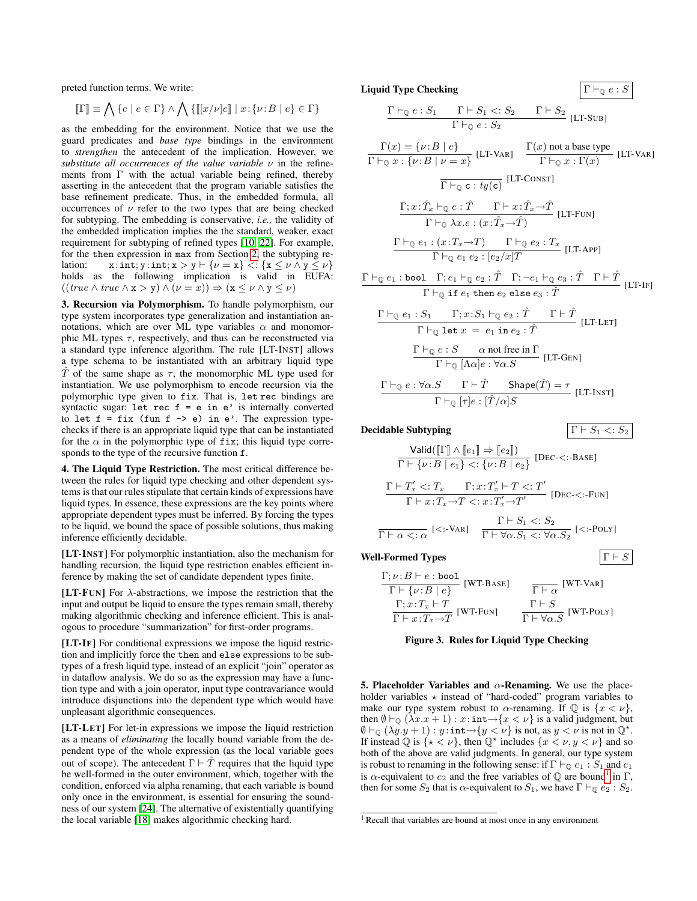preted function terms. We write:

$$
\llbracket \Gamma \rrbracket \equiv \bigwedge \{e \mid e \in \Gamma\} \land \bigwedge \, \{ \llbracket [x/\nu]e \rrbracket \mid x \colon \{ \nu \colon\! B \mid e \} \in \Gamma \}
$$

as the embedding for the environment. Notice that we use the guard predicates and *base type* bindings in the environment to *strengthen* the antecedent of the implication. However, we *substitute all occurrences of the value variable* ν in the refinements from Γ with the actual variable being refined, thereby asserting in the antecedent that the program variable satisfies the base refinement predicate. Thus, in the embedded formula, all occurrences of  $\nu$  refer to the two types that are being checked for subtyping. The embedding is conservative, *i.e.,* the validity of the embedded implication implies the the standard, weaker, exact requirement for subtyping of refined types [\[10,](#page-10-5) [22\]](#page-10-4). For example, for the then expression in max from Section [2,](#page-1-2) the subtyping relation:  $x: \text{int}; y: \text{int}; x > y \vdash \{v = x\} \leq x \leq v \wedge y \leq v\}$ holds as the following implication is valid in EUFA:  $((true \land true \land x > y) \land (\nu = x)) \Rightarrow (x \leq \nu \land y \leq \nu)$ 

3. Recursion via Polymorphism. To handle polymorphism, our type system incorporates type generalization and instantiation annotations, which are over ML type variables  $\alpha$  and monomorphic ML types  $\tau$ , respectively, and thus can be reconstructed via a standard type inference algorithm. The rule [LT-INST] allows a type schema to be instantiated with an arbitrary liquid type T of the same shape as  $\tau$ , the monomorphic ML type used for instantiation. We use polymorphism to encode recursion via the polymorphic type given to fix. That is, let rec bindings are syntactic sugar: let rec  $f = e$  in  $e'$  is internally converted to let  $f = fix$  (fun  $f \rightarrow e$ ) in  $e'$ . The expression typechecks if there is an appropriate liquid type that can be instantiated for the  $\alpha$  in the polymorphic type of fix; this liquid type corresponds to the type of the recursive function f.

4. The Liquid Type Restriction. The most critical difference between the rules for liquid type checking and other dependent systems is that our rules stipulate that certain kinds of expressions have liquid types. In essence, these expressions are the key points where appropriate dependent types must be inferred. By forcing the types to be liquid, we bound the space of possible solutions, thus making inference efficiently decidable.

[LT-INST] For polymorphic instantiation, also the mechanism for handling recursion, the liquid type restriction enables efficient inference by making the set of candidate dependent types finite.

[LT-FUN] For  $\lambda$ -abstractions, we impose the restriction that the input and output be liquid to ensure the types remain small, thereby making algorithmic checking and inference efficient. This is analogous to procedure "summarization" for first-order programs.

[LT-IF] For conditional expressions we impose the liquid restriction and implicitly force the then and else expressions to be subtypes of a fresh liquid type, instead of an explicit "join" operator as in dataflow analysis. We do so as the expression may have a function type and with a join operator, input type contravariance would introduce disjunctions into the dependent type which would have unpleasant algorithmic consequences.

[LT-LET] For let-in expressions we impose the liquid restriction as a means of *eliminating* the locally bound variable from the dependent type of the whole expression (as the local variable goes out of scope). The antecedent  $\Gamma \vdash \hat{T}$  requires that the liquid type be well-formed in the outer environment, which, together with the condition, enforced via alpha renaming, that each variable is bound only once in the environment, is essential for ensuring the soundness of our system [\[24\]](#page-10-14). The alternative of existentially quantifying the local variable [\[18\]](#page-10-16) makes algorithmic checking hard.

#### Liquid Type Checking  $\Gamma \vdash_{\mathbb{Q}} e : S$

$$
\frac{\Gamma \vdash_{\mathbb{Q}} e : S_1 \qquad \Gamma \vdash S_1 \lt; : S_2 \qquad \Gamma \vdash S_2}{\Gamma \vdash_{\mathbb{Q}} e : S_2} \quad \text{[LT-SUB]}
$$

$$
\Gamma(x) = \{ \nu : B \mid e \}
$$
\n[LT-VAR] 
$$
\frac{\Gamma(x) \text{ not a base type}}{\Gamma \vdash_{\mathbb{Q}} x : \{ \nu : B \mid \nu = x \}}
$$
 [LT-VAR] 
$$
\frac{\Gamma(x) \text{ not a base type}}{\Gamma \vdash_{\mathbb{Q}} x : \Gamma(x)}
$$
 [LT-VAR] 
$$
\frac{\Gamma; x : \hat{T}_x \vdash_{\mathbb{Q}} e : \hat{T} \qquad \Gamma \vdash x : \hat{T}_x \rightarrow \hat{T}}{\Gamma \vdash_{\mathbb{Q}} \lambda x \cdot e : (x : \hat{T}_x \rightarrow \hat{T})}
$$
 [LT-FUN] 
$$
\frac{\Gamma \vdash_{\mathbb{Q}} e_1 : (x : T_x \rightarrow T) \qquad \Gamma \vdash_{\mathbb{Q}} e_2 : T_x}{\Gamma \vdash_{\mathbb{Q}} e_1 e_2 : [e_2/x]T}
$$
 [LT-APP] 
$$
\frac{\Gamma \vdash_{\mathbb{Q}} e_1 : \text{bool} \quad \Gamma; e_1 \vdash_{\mathbb{Q}} e_2 : \hat{T} \qquad \Gamma; \neg e_1 \vdash_{\mathbb{Q}} e_3 : \hat{T} \qquad \Gamma \vdash \hat{T}}{\Gamma \vdash_{\mathbb{Q}} \text{ if } e_1 \text{ then } e_2 \text{ else } e_3 : \hat{T}}
$$
 [LT-IF] 
$$
\frac{\Gamma \vdash_{\mathbb{Q}} e_1 : S_1 \qquad \Gamma; x : S_1 \vdash_{\mathbb{Q}} e_2 : \hat{T} \qquad \Gamma \vdash \hat{T}}{\Gamma \vdash_{\mathbb{Q}} \text{ let } x = e_1 \text{ in } e_2 : \hat{T}} \qquad [\text{LT-LET}]
$$
\n[LT-GET] 
$$
\frac{\Gamma \vdash_{\mathbb{Q}} e : S \qquad \text{and free in } \Gamma}{\Gamma \vdash_{\mathbb{Q}} [\Lambda \alpha] e : \forall \alpha. S} \qquad [\text{LT-GEN}]
$$

$$
\frac{\Gamma \vdash_{\mathbb{Q}} e : \forall \alpha . S \qquad \Gamma \vdash \hat{T} \qquad \mathsf{Shape}(\hat{T}) = \tau}{\Gamma \vdash_{\mathbb{Q}} [\tau] e : [\hat{T}/\alpha] S} \qquad [\text{LT-Insr}]
$$

**Decidable Subtyping**  $\Gamma \vdash S_1 \lt: S_2$ 

$$
\frac{\mathsf{Valid}([\![\Gamma]\!] \wedge [\![e_1]\!] \Rightarrow [\![e_2]\!])}{\Gamma \vdash \{\nu : B \mid e_1\} <: \{\nu : B \mid e_2\}} \text{ [DEC-<:-BASE]}\\
$$
\n
$$
\frac{\Gamma \vdash T'_x <: T_x \qquad \Gamma ; x : T'_x \vdash T <: T' \qquad \qquad [\text{DEC-<:-FUN}]}{\Gamma \vdash x : T_x \rightarrow T <: x : T'_x \rightarrow T'} \text{ [DEC-<:-FUN]}\\
$$
\n
$$
\frac{\Gamma \vdash S_1 <: S_2}{\Gamma \vdash \forall \alpha . S_1 <: \forall \alpha . S_2} \text{ [<:-POLY]}
$$

Well-Formed Types  $|\Gamma \vdash S$ 

$$
\frac{\Gamma; \nu: B \vdash e : \text{bool}}{\Gamma \vdash \{\nu: B \mid e\}} \quad [\text{WT-Base}] \qquad \frac{\Gamma \vdash \alpha \quad [\text{WT-VAR}]}{\Gamma \vdash \alpha} \quad \frac{\Gamma \vdash \alpha}{\Gamma \vdash x : T_x \vdash T} \quad [\text{WT-FUN}] \qquad \frac{\Gamma \vdash S}{\Gamma \vdash \forall \alpha. S} \quad [\text{WT-POLY}]
$$

<span id="page-5-0"></span>Figure 3. Rules for Liquid Type Checking

5. Placeholder Variables and  $\alpha$ -Renaming. We use the placeholder variables  $\star$  instead of "hard-coded" program variables to make our type system robust to  $\alpha$ -renaming. If  $\mathbb Q$  is  $\{x < \nu\}$ , then  $\emptyset \vdash_{\mathbb{Q}} (\lambda x.x + 1) : x : \text{int} \rightarrow \{x < \nu\}$  is a valid judgment, but  $\emptyset \vdash_{\mathbb{Q}} (\lambda y \cdot y + 1) : y \cdot \text{int} \rightarrow \{y < \nu\}$  is not, as  $y < \nu$  is not in  $\mathbb{Q}^*$ . If instead  $\mathbb Q$  is  $\{\star < \nu\}$ , then  $\mathbb Q^*$  includes  $\{x < \nu, y < \nu\}$  and so both of the above are valid judgments. In general, our type system is robust to renaming in the following sense: if  $\Gamma \vdash_{\mathbb{Q}} e_1 : S_1$  and  $e_1$ is  $\alpha$ -equivalent to  $e_2$  and the free variables of  $\mathbb Q$  are bound<sup>[1](#page-5-1)</sup> in  $\Gamma$ , then for some  $S_2$  that is  $\alpha$ -equivalent to  $S_1$ , we have  $\Gamma \vdash_{\mathbb{Q}} e_2 : S_2$ .

<span id="page-5-1"></span><sup>1</sup> Recall that variables are bound at most once in any environment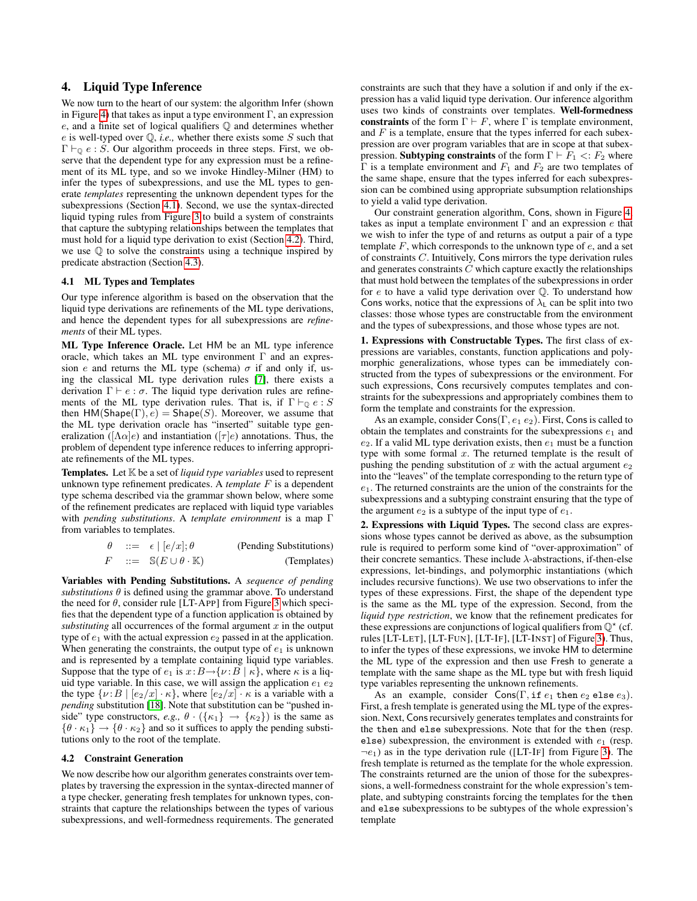# <span id="page-6-0"></span>4. Liquid Type Inference

We now turn to the heart of our system: the algorithm Infer (shown in Figure [4\)](#page-8-1) that takes as input a type environment  $\Gamma$ , an expression e, and a finite set of logical qualifiers Q and determines whether  $e$  is well-typed over  $Q$ , *i.e.*, whether there exists some  $S$  such that  $\Gamma \vdash_{\mathbb{Q}} e : S$ . Our algorithm proceeds in three steps. First, we observe that the dependent type for any expression must be a refinement of its ML type, and so we invoke Hindley-Milner (HM) to infer the types of subexpressions, and use the ML types to generate *templates* representing the unknown dependent types for the subexpressions (Section [4.1\)](#page-6-1). Second, we use the syntax-directed liquid typing rules from Figure [3](#page-5-0) to build a system of constraints that capture the subtyping relationships between the templates that must hold for a liquid type derivation to exist (Section [4.2\)](#page-6-2). Third, we use  $\mathbb Q$  to solve the constraints using a technique inspired by predicate abstraction (Section [4.3\)](#page-7-0).

## <span id="page-6-1"></span>4.1 ML Types and Templates

Our type inference algorithm is based on the observation that the liquid type derivations are refinements of the ML type derivations, and hence the dependent types for all subexpressions are *refinements* of their ML types.

ML Type Inference Oracle. Let HM be an ML type inference oracle, which takes an ML type environment  $\Gamma$  and an expression e and returns the ML type (schema)  $\sigma$  if and only if, using the classical ML type derivation rules [\[7\]](#page-10-11), there exists a derivation  $\Gamma \vdash e : \sigma$ . The liquid type derivation rules are refinements of the ML type derivation rules. That is, if  $\Gamma \vdash_{\Omega} e : S$ then  $HM(Shape(\Gamma), e) = Shape(S)$ . Moreover, we assume that the ML type derivation oracle has "inserted" suitable type generalization ( $[\Lambda \alpha]e$ ) and instantiation ( $[\tau]e$ ) annotations. Thus, the problem of dependent type inference reduces to inferring appropriate refinements of the ML types.

Templates. Let K be a set of *liquid type variables* used to represent unknown type refinement predicates. A *template* F is a dependent type schema described via the grammar shown below, where some of the refinement predicates are replaced with liquid type variables with *pending substitutions*. A *template environment* is a map Γ from variables to templates.

| $\theta$ | $ ::= \epsilon   [e/x]; \theta$                   | (Pending Substitutions) |
|----------|---------------------------------------------------|-------------------------|
| F        | $ ::= \mathbb{S}(E \cup \theta \cdot \mathbb{K})$ | (Templates)             |

Variables with Pending Substitutions. A *sequence of pending substitutions*  $\theta$  is defined using the grammar above. To understand the need for  $\theta$ , consider rule [LT-APP] from Figure [3](#page-5-0) which specifies that the dependent type of a function application is obtained by *substituting* all occurrences of the formal argument  $x$  in the output type of  $e_1$  with the actual expression  $e_2$  passed in at the application. When generating the constraints, the output type of  $e_1$  is unknown and is represented by a template containing liquid type variables. Suppose that the type of  $e_1$  is  $x: B \rightarrow \{v: B \mid \kappa\}$ , where  $\kappa$  is a liquid type variable. In this case, we will assign the application  $e_1 e_2$ the type  $\{\nu : B \mid [e_2/x] \cdot \kappa\}$ , where  $[e_2/x] \cdot \kappa$  is a variable with a *pending* substitution [\[18\]](#page-10-16). Note that substitution can be "pushed inside" type constructors, *e.g.*,  $\theta \cdot (\{\kappa_1\} \rightarrow \{\kappa_2\})$  is the same as  $\{\theta \cdot \kappa_1\} \rightarrow \{\theta \cdot \kappa_2\}$  and so it suffices to apply the pending substitutions only to the root of the template.

### <span id="page-6-2"></span>4.2 Constraint Generation

We now describe how our algorithm generates constraints over templates by traversing the expression in the syntax-directed manner of a type checker, generating fresh templates for unknown types, constraints that capture the relationships between the types of various subexpressions, and well-formedness requirements. The generated constraints are such that they have a solution if and only if the expression has a valid liquid type derivation. Our inference algorithm uses two kinds of constraints over templates. Well-formedness constraints of the form  $\Gamma \vdash F$ , where  $\Gamma$  is template environment, and  $F$  is a template, ensure that the types inferred for each subexpression are over program variables that are in scope at that subexpression. Subtyping constraints of the form  $\Gamma \vdash F_1 \prec F_2$  where Γ is a template environment and  $F_1$  and  $F_2$  are two templates of the same shape, ensure that the types inferred for each subexpression can be combined using appropriate subsumption relationships to yield a valid type derivation.

Our constraint generation algorithm, Cons, shown in Figure [4,](#page-8-1) takes as input a template environment  $\Gamma$  and an expression  $e$  that we wish to infer the type of and returns as output a pair of a type template  $F$ , which corresponds to the unknown type of  $e$ , and a set of constraints C. Intuitively, Cons mirrors the type derivation rules and generates constraints  $C$  which capture exactly the relationships that must hold between the templates of the subexpressions in order for  $e$  to have a valid type derivation over  $\mathbb Q$ . To understand how Cons works, notice that the expressions of  $\lambda_L$  can be split into two classes: those whose types are constructable from the environment and the types of subexpressions, and those whose types are not.

1. Expressions with Constructable Types. The first class of expressions are variables, constants, function applications and polymorphic generalizations, whose types can be immediately constructed from the types of subexpressions or the environment. For such expressions, Cons recursively computes templates and constraints for the subexpressions and appropriately combines them to form the template and constraints for the expression.

As an example, consider Cons( $\Gamma$ ,  $e_1$   $e_2$ ). First, Cons is called to obtain the templates and constraints for the subexpressions  $e_1$  and  $e_2$ . If a valid ML type derivation exists, then  $e_1$  must be a function type with some formal  $x$ . The returned template is the result of pushing the pending substitution of x with the actual argument  $e_2$ into the "leaves" of the template corresponding to the return type of  $e_1$ . The returned constraints are the union of the constraints for the subexpressions and a subtyping constraint ensuring that the type of the argument  $e_2$  is a subtype of the input type of  $e_1$ .

2. Expressions with Liquid Types. The second class are expressions whose types cannot be derived as above, as the subsumption rule is required to perform some kind of "over-approximation" of their concrete semantics. These include  $\lambda$ -abstractions, if-then-else expressions, let-bindings, and polymorphic instantiations (which includes recursive functions). We use two observations to infer the types of these expressions. First, the shape of the dependent type is the same as the ML type of the expression. Second, from the *liquid type restriction*, we know that the refinement predicates for these expressions are conjunctions of logical qualifiers from  $\mathbb{Q}^*$  (cf. rules [LT-LET], [LT-FUN], [LT-IF], [LT-INST] of Figure [3\)](#page-5-0). Thus, to infer the types of these expressions, we invoke HM to determine the ML type of the expression and then use Fresh to generate a template with the same shape as the ML type but with fresh liquid type variables representing the unknown refinements.

As an example, consider  $Cons(\Gamma, \text{if } e_1 \text{ then } e_2 \text{ else } e_3).$ First, a fresh template is generated using the ML type of the expression. Next, Cons recursively generates templates and constraints for the then and else subexpressions. Note that for the then (resp. else) subexpression, the environment is extended with  $e_1$  (resp.  $\neg e_1$ ) as in the type derivation rule ([LT-IF] from Figure [3\)](#page-5-0). The fresh template is returned as the template for the whole expression. The constraints returned are the union of those for the subexpressions, a well-formedness constraint for the whole expression's template, and subtyping constraints forcing the templates for the then and else subexpressions to be subtypes of the whole expression's template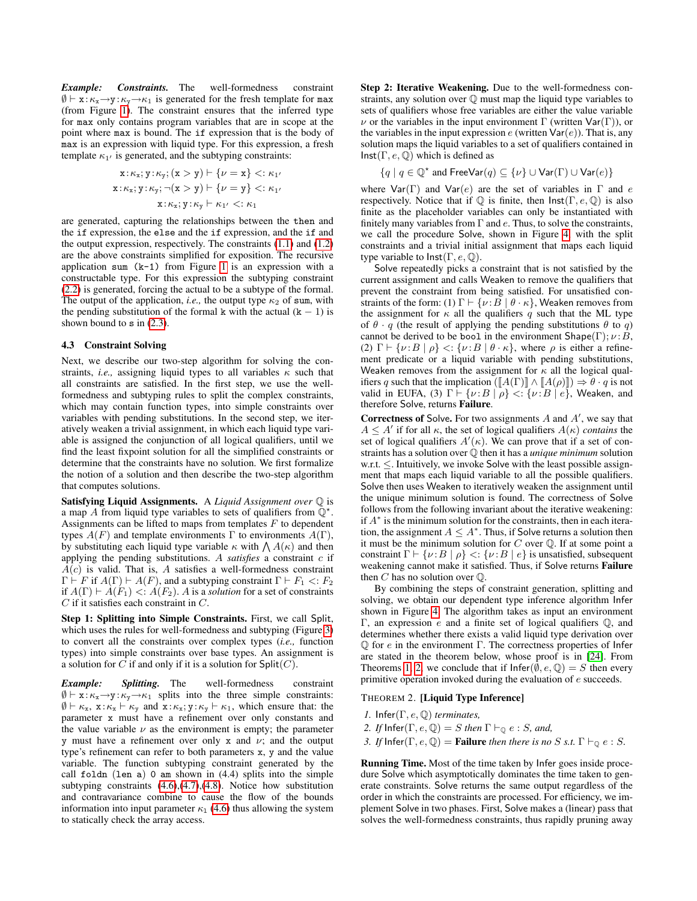*Example: Constraints.* The well-formedness constraint  $\emptyset \vdash x: \kappa_x \rightarrow y: \kappa_y \rightarrow \kappa_1$  is generated for the fresh template for max (from Figure [1\)](#page-2-0). The constraint ensures that the inferred type for max only contains program variables that are in scope at the point where max is bound. The if expression that is the body of max is an expression with liquid type. For this expression, a fresh template  $\kappa_{1}$  is generated, and the subtyping constraints:

$$
x: \kappa_x; y: \kappa_y; (x > y) \vdash \{\nu = x\} <: \kappa_{1'}
$$
\n
$$
x: \kappa_x; y: \kappa_y; \neg(x > y) \vdash \{\nu = y\} <: \kappa_{1'}
$$
\n
$$
x: \kappa_x; y: \kappa_y \vdash \kappa_{1'} <: \kappa_1
$$

are generated, capturing the relationships between the then and the if expression, the else and the if expression, and the if and the output expression, respectively. The constraints  $(1.1)$  and  $(1.2)$ are the above constraints simplified for exposition. The recursive application sum  $(k-1)$  from Figure [1](#page-2-0) is an expression with a constructable type. For this expression the subtyping constraint [\(2.2\)](#page-2-1) is generated, forcing the actual to be a subtype of the formal. The output of the application, *i.e.*, the output type  $\kappa_2$  of sum, with the pending substitution of the formal k with the actual  $(k - 1)$  is shown bound to  $\sin(2.3)$  $\sin(2.3)$ .

### <span id="page-7-0"></span>4.3 Constraint Solving

Next, we describe our two-step algorithm for solving the constraints, *i.e.*, assigning liquid types to all variables  $\kappa$  such that all constraints are satisfied. In the first step, we use the wellformedness and subtyping rules to split the complex constraints, which may contain function types, into simple constraints over variables with pending substitutions. In the second step, we iteratively weaken a trivial assignment, in which each liquid type variable is assigned the conjunction of all logical qualifiers, until we find the least fixpoint solution for all the simplified constraints or determine that the constraints have no solution. We first formalize the notion of a solution and then describe the two-step algorithm that computes solutions.

Satisfying Liquid Assignments. A *Liquid Assignment over* Q is a map A from liquid type variables to sets of qualifiers from  $\mathbb{Q}^*$ . Assignments can be lifted to maps from templates  $F$  to dependent types  $A(F)$  and template environments  $\Gamma$  to environments  $A(\Gamma)$ , by substituting each liquid type variable  $\kappa$  with  $\bigwedge A(\kappa)$  and then applying the pending substitutions. A *satisfies* a constraint c if  $\overline{A}(c)$  is valid. That is, A satisfies a well-formedness constraint  $\Gamma \vdash F$  if  $A(\Gamma) \vdash A(F)$ , and a subtyping constraint  $\Gamma \vdash F_1 \prec F_2$ if  $A(\Gamma) \vdash A(F_1) \leq A(F_2)$ . A is a *solution* for a set of constraints C if it satisfies each constraint in C.

Step 1: Splitting into Simple Constraints. First, we call Split, which uses the rules for well-formedness and subtyping (Figure [3\)](#page-5-0) to convert all the constraints over complex types (*i.e.,* function types) into simple constraints over base types. An assignment is a solution for C if and only if it is a solution for  $\text{Split}(C)$ .

*Example: Splitting.* The well-formedness constraint  $\emptyset \vdash x:\kappa_x \rightarrow y:\kappa_y \rightarrow \kappa_1$  splits into the three simple constraints:  $\emptyset \vdash \kappa_{x}, x:\kappa_{x} \vdash \kappa_{y}$  and  $x:\kappa_{x}; y:\kappa_{y} \vdash \kappa_{1}$ , which ensure that: the parameter x must have a refinement over only constants and the value variable  $\nu$  as the environment is empty; the parameter y must have a refinement over only x and  $\nu$ ; and the output type's refinement can refer to both parameters x, y and the value variable. The function subtyping constraint generated by the call foldn (len a) 0 am shown in (4.4) splits into the simple subtyping constraints [\(4.6\)](#page-3-3),[\(4.7\)](#page-3-7),[\(4.8\)](#page-3-8). Notice how substitution and contravariance combine to cause the flow of the bounds information into input parameter  $\kappa_1$  [\(4.6\)](#page-3-3) thus allowing the system to statically check the array access.

Step 2: Iterative Weakening. Due to the well-formedness constraints, any solution over Q must map the liquid type variables to sets of qualifiers whose free variables are either the value variable  $ν$  or the variables in the input environment Γ (written Var(Γ)), or the variables in the input expression  $e$  (written  $\text{Var}(e)$ ). That is, any solution maps the liquid variables to a set of qualifiers contained in  $Inst(\Gamma, e, \mathbb{Q})$  which is defined as

$$
\{q \mid q \in \mathbb{Q}^{\star} \text{ and FreeVar}(q) \subseteq \{\nu\} \cup \text{Var}(\Gamma) \cup \text{Var}(e)\}
$$

where  $\text{Var}(\Gamma)$  and  $\text{Var}(e)$  are the set of variables in  $\Gamma$  and e respectively. Notice that if  $\mathbb Q$  is finite, then  $\text{Inst}(\Gamma, e, \mathbb Q)$  is also finite as the placeholder variables can only be instantiated with finitely many variables from  $\Gamma$  and  $e$ . Thus, to solve the constraints, we call the procedure Solve, shown in Figure [4,](#page-8-1) with the split constraints and a trivial initial assignment that maps each liquid type variable to  $\textsf{Inst}(\Gamma, e, \mathbb{Q})$ .

Solve repeatedly picks a constraint that is not satisfied by the current assignment and calls Weaken to remove the qualifiers that prevent the constraint from being satisfied. For unsatisfied constraints of the form: (1)  $\Gamma \vdash \{\nu : B \mid \theta \cdot \kappa\}$ , Weaken removes from the assignment for  $\kappa$  all the qualifiers q such that the ML type of  $\theta \cdot q$  (the result of applying the pending substitutions  $\theta$  to  $q$ ) cannot be derived to be bool in the environment  $\textsf{Shape}(\Gamma); \nu : B$ , (2)  $\Gamma \vdash \{\nu : B \mid \rho\} \langle : \{\nu : B \mid \theta \cdot \kappa\}$ , where  $\rho$  is either a refinement predicate or a liquid variable with pending substitutions, Weaken removes from the assignment for  $\kappa$  all the logical qualifiers q such that the implication  $([A(\Gamma)] \wedge [A(\rho)]) \Rightarrow \theta \cdot q$  is not valid in EUFA, (3)  $\Gamma \vdash \{ \nu : B \mid \rho \} \langle : \{ \nu : B \mid e \},$  Weaken, and therefore Solve, returns Failure.

**Correctness of Solve.** For two assignments  $A$  and  $A'$ , we say that  $A \leq A'$  if for all  $\kappa$ , the set of logical qualifiers  $A(\kappa)$  *contains* the set of logical qualifiers  $A'(\kappa)$ . We can prove that if a set of constraints has a solution over Q then it has a *unique minimum* solution w.r.t. ≤. Intuitively, we invoke Solve with the least possible assignment that maps each liquid variable to all the possible qualifiers. Solve then uses Weaken to iteratively weaken the assignment until the unique minimum solution is found. The correctness of Solve follows from the following invariant about the iterative weakening: if  $A^*$  is the minimum solution for the constraints, then in each iteration, the assignment  $A \leq A^*$ . Thus, if Solve returns a solution then it must be the minimum solution for  $C$  over  $\mathbb Q$ . If at some point a constraint  $\Gamma \vdash \{ \nu : B \mid \rho \} \langle : \{ \nu : B \mid e \}$  is unsatisfied, subsequent weakening cannot make it satisfied. Thus, if Solve returns Failure then  $C$  has no solution over  $\mathbb Q$ .

By combining the steps of constraint generation, splitting and solving, we obtain our dependent type inference algorithm Infer shown in Figure [4.](#page-8-1) The algorithm takes as input an environment Γ, an expression e and a finite set of logical qualifiers Q, and determines whether there exists a valid liquid type derivation over  $\mathbb Q$  for e in the environment Γ. The correctness properties of Infer are stated in the theorem below, whose proof is in [\[24\]](#page-10-14). From Theorems [1,](#page-4-2) [2,](#page-7-1) we conclude that if  $Infer(\bar{\emptyset}, e, \mathbb{Q}) = S$  then every primitive operation invoked during the evaluation of e succeeds.

### <span id="page-7-1"></span>THEOREM 2. [Liquid Type Inference]

- *1.* Infer(Γ, e, Q) *terminates,*
- *2. If*  $\text{Infer}(\Gamma, e, \mathbb{Q}) = S$  *then*  $\Gamma \vdash_{\mathbb{Q}} e : S$ *, and,*
- *3. If* Infer( $\Gamma$ ,  $e$ ,  $\mathbb{Q}$ ) = **Failure** *then there is no* S *s.t.*  $\Gamma \vdash_{\mathbb{Q}} e : S$ .

Running Time. Most of the time taken by Infer goes inside procedure Solve which asymptotically dominates the time taken to generate constraints. Solve returns the same output regardless of the order in which the constraints are processed. For efficiency, we implement Solve in two phases. First, Solve makes a (linear) pass that solves the well-formedness constraints, thus rapidly pruning away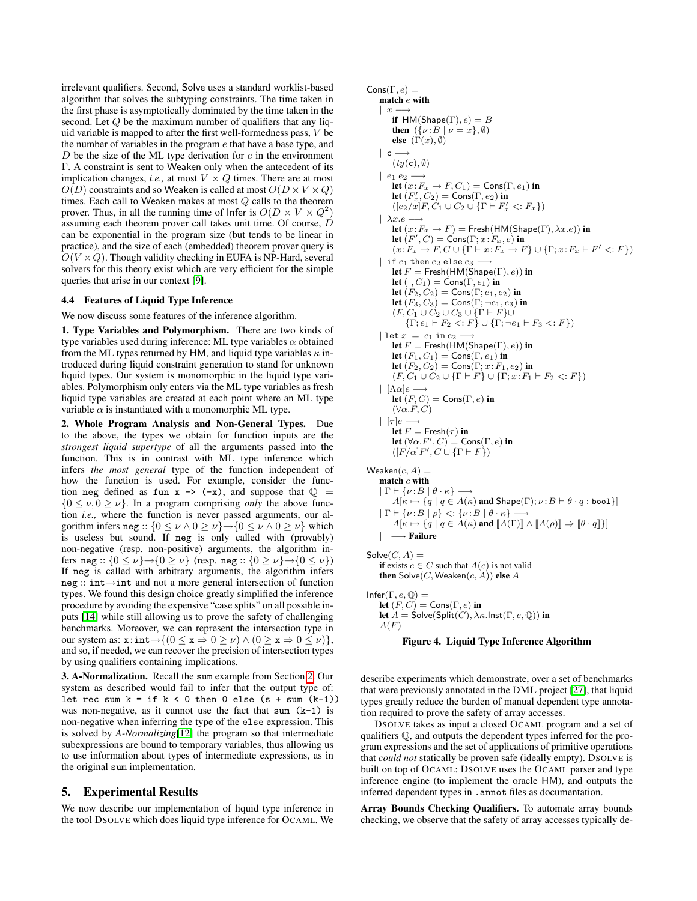irrelevant qualifiers. Second, Solve uses a standard worklist-based algorithm that solves the subtyping constraints. The time taken in the first phase is asymptotically dominated by the time taken in the second. Let  $Q$  be the maximum number of qualifiers that any liquid variable is mapped to after the first well-formedness pass,  $V$  be the number of variables in the program  $e$  that have a base type, and  $D$  be the size of the ML type derivation for  $e$  in the environment Γ. A constraint is sent to Weaken only when the antecedent of its implication changes, *i.e.*, at most  $V \times Q$  times. There are at most  $O(D)$  constraints and so Weaken is called at most  $O(D \times V \times Q)$ times. Each call to Weaken makes at most Q calls to the theorem prover. Thus, in all the running time of Infer is  $O(D \times V \times Q^2)$ assuming each theorem prover call takes unit time. Of course, D can be exponential in the program size (but tends to be linear in practice), and the size of each (embedded) theorem prover query is  $O(V \times Q)$ . Though validity checking in EUFA is NP-Hard, several solvers for this theory exist which are very efficient for the simple queries that arise in our context [\[9\]](#page-10-17).

## 4.4 Features of Liquid Type Inference

#### We now discuss some features of the inference algorithm.

1. Type Variables and Polymorphism. There are two kinds of type variables used during inference: ML type variables  $\alpha$  obtained from the ML types returned by HM, and liquid type variables  $\kappa$  introduced during liquid constraint generation to stand for unknown liquid types. Our system is monomorphic in the liquid type variables. Polymorphism only enters via the ML type variables as fresh liquid type variables are created at each point where an ML type variable  $\alpha$  is instantiated with a monomorphic ML type.

2. Whole Program Analysis and Non-General Types. Due to the above, the types we obtain for function inputs are the *strongest liquid supertype* of all the arguments passed into the function. This is in contrast with ML type inference which infers *the most general* type of the function independent of how the function is used. For example, consider the function neg defined as fun  $x \rightarrow (-x)$ , and suppose that  $\mathbb{Q}$  =  ${0 \leq \nu, 0 \geq \nu}$ . In a program comprising *only* the above function *i.e.,* where the function is never passed arguments, our algorithm infers neg ::  $\{0 \le \nu \wedge 0 \ge \nu\} \rightarrow \{0 \le \nu \wedge 0 \ge \nu\}$  which is useless but sound. If neg is only called with (provably) non-negative (resp. non-positive) arguments, the algorithm infers neg ::  $\{0 \le \nu\} \rightarrow \{0 \ge \nu\}$  (resp. neg ::  $\{0 \ge \nu\} \rightarrow \{0 \le \nu\}$ ) If neg is called with arbitrary arguments, the algorithm infers neg :: int→int and not a more general intersection of function types. We found this design choice greatly simplified the inference procedure by avoiding the expensive "case splits" on all possible inputs [\[14\]](#page-10-1) while still allowing us to prove the safety of challenging benchmarks. Moreover, we can represent the intersection type in our system as:  $x: \text{int} \rightarrow \{ (0 \le x \Rightarrow 0 \ge \nu) \land (0 \ge x \Rightarrow 0 \le \nu) \},$ and so, if needed, we can recover the precision of intersection types by using qualifiers containing implications.

3. A-Normalization. Recall the sum example from Section [2.](#page-1-2) Our system as described would fail to infer that the output type of: let rec sum  $k = if k < 0 then 0 else (s + sum (k-1))$ was non-negative, as it cannot use the fact that sum  $(k-1)$  is non-negative when inferring the type of the else expression. This is solved by *A-Normalizing*[\[12\]](#page-10-18) the program so that intermediate subexpressions are bound to temporary variables, thus allowing us to use information about types of intermediate expressions, as in the original sum implementation.

# <span id="page-8-0"></span>5. Experimental Results

We now describe our implementation of liquid type inference in the tool DSOLVE which does liquid type inference for OCAML. We

```
\mathsf{Cons}(\Gamma, e) =match e with
     \mid x -if HM(Shape(\Gamma), e) = Bthen (\overrightarrow{\lambda} \nu : \overrightarrow{B} | \nu = x), \emptyset)
          else (\Gamma(x), \emptyset)| c - \rightarrow(ty(c), \emptyset)| e_1 e_2 \rightarrowlet (x: F_x \to F, C_1) = \text{Cons}(\Gamma, e_1) in
           let (F'_x, C_2) = \text{Cons}(\Gamma, e_2) in
           ([e_2/\bar{x}]F, C_1 \cup C_2 \cup \{\Gamma \vdash F'_x < F_x\})\vert \lambda x.e \rightarrowlet (x: F_x \to F) = Fresh(HM(Shape(Γ), \lambda x.e)) in
           let (F', C) = \mathsf{Cons}(\Gamma; x\!:\!F_x, e) in
           (x: F_x \to F, C \cup \{\Gamma \vdash x: F_x \to F\} \cup \{\Gamma; x: F_x \vdash F' \lt: F\})| if e_1 then e_2 else e_3 -let F = Fresh(HM(Shape(\Gamma), e)) in
          let (. , C_1) = \text{Cons}(\Gamma, e_1) in
          let (F_2, C_2) = \text{Cons}(\Gamma, e_1, e_2) in
          let (F_3, C_3) = Cons(\Gamma; \neg e_1, e_3) in
          (F, C_1 \cup C_2 \cup C_3 \cup \{\Gamma \vdash F\} \cup\{\Gamma; e_1 \vdash F_2 \lt: F\} \cup \{\Gamma; \neg e_1 \vdash F_3 \lt: F\}| let x = e_1 in e_2 -
          let F = Fresh(HM(Shape(\Gamma), e)) in
          let (F_1, C_1) = Cons(\Gamma, e_1) in
          let (F_2, C_2) = Cons(\Gamma; x: F_1, e_2) in
           (F, C_1 \cup C_2 \cup \{\Gamma \vdash F\} \cup \{\Gamma; x : F_1 \vdash F_2 \lt; F\})| [\Lambda \alpha]e —
          let (F, C) = Cons(\Gamma, e) in
          (\forall \alpha.F, C)
     \mid \; [ \tau ] e \longrightarrowlet F = Fresh(\tau) in
           let (\forall \alpha . F', C) = \mathsf{Cons}(\Gamma, e) in
           ([F/\alpha]F', C \cup \{\Gamma \vdash F\})Weaken(c, A) =match c with
     |\Gamma \vdash \{\nu : B \mid \theta \cdot \kappa\} \longrightarrowA[\kappa \mapsto \{q \mid q \in A(\kappa) \text{ and } \mathsf{Shape}(\Gamma); \nu \colon\! B \vdash \theta \cdot q : \mathsf{bool} \}]|\Gamma \vdash \{\nu : B \mid \rho\} \langle : \{\nu : B \mid \theta \cdot \kappa\} \longrightarrowA[\kappa \mapsto \{q \mid q \in \tilde{A}(\kappa) \text{ and } [\![A(\Gamma)]\!] \wedge [\![A(\rho)]\!] \Rightarrow [\![\theta \cdot q]\!] \}| −→ Failure
Solve(C, A) =if exists c \in C such that A(c) is not valid
     then Solve(C, Weaken(c, A)) else A
Infer(\Gamma, e, \mathbb{Q}) =let (F, C) = Cons(\Gamma, e) in
     let A = \mathsf{Solve}(\mathsf{Split}(C), \lambda \kappa \mathsf{.Inst}(\Gamma, e, \mathbb{Q})) in
     A(F)
```

```
Figure 4. Liquid Type Inference Algorithm
```
describe experiments which demonstrate, over a set of benchmarks that were previously annotated in the DML project [\[27\]](#page-10-2), that liquid types greatly reduce the burden of manual dependent type annotation required to prove the safety of array accesses.

DSOLVE takes as input a closed OCAML program and a set of qualifiers Q, and outputs the dependent types inferred for the program expressions and the set of applications of primitive operations that *could not* statically be proven safe (ideally empty). DSOLVE is built on top of OCAML: DSOLVE uses the OCAML parser and type inference engine (to implement the oracle HM), and outputs the inferred dependent types in .annot files as documentation.

Array Bounds Checking Qualifiers. To automate array bounds checking, we observe that the safety of array accesses typically de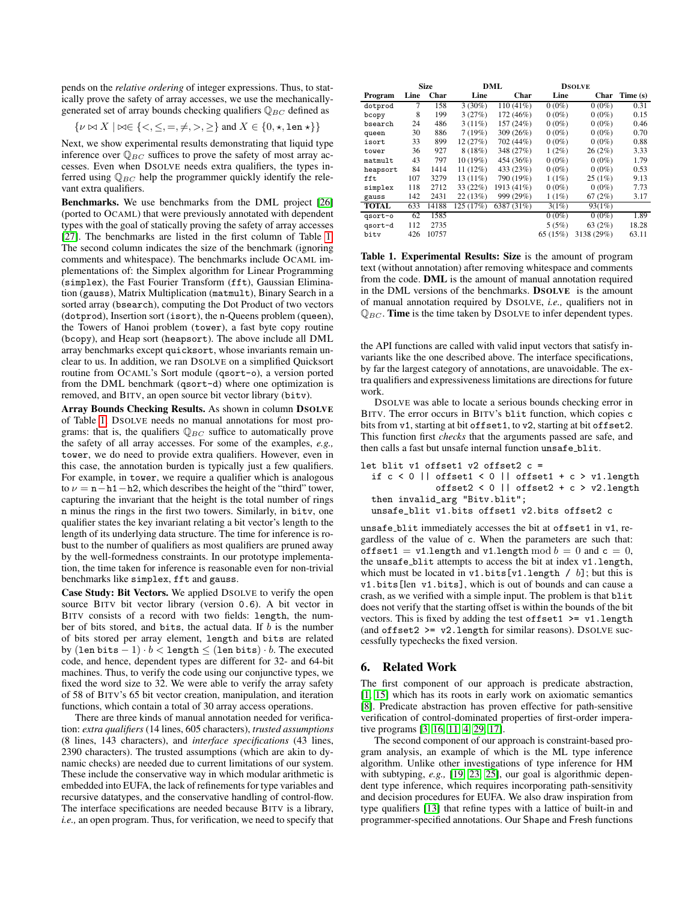pends on the *relative ordering* of integer expressions. Thus, to statically prove the safety of array accesses, we use the mechanicallygenerated set of array bounds checking qualifiers  $\mathbb{Q}_{BC}$  defined as

$$
\{\nu \bowtie X \mid \bowtie \in \{<,\leq,=,\neq,>,\geq\} \text{ and } X \in \{0,\star,\texttt{len}\star\}\}\
$$

Next, we show experimental results demonstrating that liquid type inference over  $\mathbb{Q}_{BC}$  suffices to prove the safety of most array accesses. Even when DSOLVE needs extra qualifiers, the types inferred using  $\mathbb{Q}_{BC}$  help the programmer quickly identify the relevant extra qualifiers.

Benchmarks. We use benchmarks from the DML project [\[26\]](#page-10-19) (ported to OCAML) that were previously annotated with dependent types with the goal of statically proving the safety of array accesses [\[27\]](#page-10-2). The benchmarks are listed in the first column of Table [1.](#page-9-0) The second column indicates the size of the benchmark (ignoring comments and whitespace). The benchmarks include OCAML implementations of: the Simplex algorithm for Linear Programming (simplex), the Fast Fourier Transform (fft), Gaussian Elimination (gauss), Matrix Multiplication (matmult), Binary Search in a sorted array (bsearch), computing the Dot Product of two vectors (dotprod), Insertion sort (isort), the n-Queens problem (queen), the Towers of Hanoi problem (tower), a fast byte copy routine (bcopy), and Heap sort (heapsort). The above include all DML array benchmarks except quicksort, whose invariants remain unclear to us. In addition, we ran DSOLVE on a simplified Quicksort routine from OCAML's Sort module (qsort-o), a version ported from the DML benchmark (qsort-d) where one optimization is removed, and BITV, an open source bit vector library (bitv).

Array Bounds Checking Results. As shown in column DSOLVE of Table [1,](#page-9-0) DSOLVE needs no manual annotations for most programs: that is, the qualifiers  $\mathbb{Q}_{BC}$  suffice to automatically prove the safety of all array accesses. For some of the examples, *e.g.,* tower, we do need to provide extra qualifiers. However, even in this case, the annotation burden is typically just a few qualifiers. For example, in tower, we require a qualifier which is analogous to  $\nu = \mathbf{n} - \mathbf{h} \mathbf{1} - \mathbf{h} \mathbf{2}$ , which describes the height of the "third" tower, capturing the invariant that the height is the total number of rings n minus the rings in the first two towers. Similarly, in bitv, one qualifier states the key invariant relating a bit vector's length to the length of its underlying data structure. The time for inference is robust to the number of qualifiers as most qualifiers are pruned away by the well-formedness constraints. In our prototype implementation, the time taken for inference is reasonable even for non-trivial benchmarks like simplex, fft and gauss.

Case Study: Bit Vectors. We applied DSOLVE to verify the open source BITV bit vector library (version 0.6). A bit vector in BITV consists of a record with two fields: length, the number of bits stored, and bits, the actual data. If  $b$  is the number of bits stored per array element, length and bits are related by  $(\text{len bits} - 1) \cdot b < \text{length} \leq (\text{len bits}) \cdot b$ . The executed code, and hence, dependent types are different for 32- and 64-bit machines. Thus, to verify the code using our conjunctive types, we fixed the word size to 32. We were able to verify the array safety of 58 of BITV's 65 bit vector creation, manipulation, and iteration functions, which contain a total of 30 array access operations.

There are three kinds of manual annotation needed for verification: *extra qualifiers* (14 lines, 605 characters), *trusted assumptions* (8 lines, 143 characters), and *interface specifications* (43 lines, 2390 characters). The trusted assumptions (which are akin to dynamic checks) are needed due to current limitations of our system. These include the conservative way in which modular arithmetic is embedded into EUFA, the lack of refinements for type variables and recursive datatypes, and the conservative handling of control-flow. The interface specifications are needed because BITV is a library, *i.e.,* an open program. Thus, for verification, we need to specify that

|              | <b>Size</b> |       | DML        |             | <b>DSOLVE</b> |            |          |
|--------------|-------------|-------|------------|-------------|---------------|------------|----------|
| Program      | Line        | Char  | Line       | Char        | Line          | Char       | Time (s) |
| dotprod      | 7           | 158   | $3(30\%)$  | $110(41\%)$ | $0(0\%)$      | $0(0\%)$   | 0.31     |
| bcopy        | 8           | 199   | 3(27%)     | 172 (46%)   | $0(0\%)$      | $0(0\%)$   | 0.15     |
| bsearch      | 24          | 486   | $3(11\%)$  | 157 (24%)   | $0(0\%)$      | $0(0\%)$   | 0.46     |
| queen        | 30          | 886   | 7(19%)     | 309 (26%)   | $0(0\%)$      | $0(0\%)$   | 0.70     |
| isort        | 33          | 899   | 12(27%)    | 702 (44%)   | $0(0\%)$      | $0(0\%)$   | 0.88     |
| tower        | 36          | 927   | $8(18\%)$  | 348 (27%)   | $1(2\%)$      | 26(2%)     | 3.33     |
| matmult      | 43          | 797   | $10(19\%)$ | 454 (36%)   | $0(0\%)$      | $0(0\%)$   | 1.79     |
| heapsort     | 84          | 1414  | 11 (12%)   | 433 (23%)   | $0(0\%)$      | $0(0\%)$   | 0.53     |
| fft          | 107         | 3279  | $13(11\%)$ | 790 (19%)   | 1(1%)         | 25(1%)     | 9.13     |
| simplex      | 118         | 2712  | 33(22%)    | 1913 (41%)  | $0(0\%)$      | $0(0\%)$   | 7.73     |
| gauss        | 142         | 2431  | 22(13%)    | 999 (29%)   | 1(1%)         | 67(2%)     | 3.17     |
| <b>TOTAL</b> | 633         | 14188 | 125 (17%)  | 6387 (31%)  | 3(1%)         | 93(1%)     |          |
| gsort-o      | 62          | 1585  |            |             | $0(0\%)$      | $0(0\%)$   | 1.89     |
| qsort-d      | 112         | 2735  |            |             | 5(5%)         | 63(2%)     | 18.28    |
| bity         | 426         | 10757 |            |             | 65(15%)       | 3138 (29%) | 63.11    |

<span id="page-9-0"></span>Table 1. Experimental Results: Size is the amount of program text (without annotation) after removing whitespace and comments from the code. DML is the amount of manual annotation required in the DML versions of the benchmarks. DSOLVE is the amount of manual annotation required by DSOLVE, *i.e.,* qualifiers not in  $\mathbb{Q}_{BC}$ . Time is the time taken by DSOLVE to infer dependent types.

the API functions are called with valid input vectors that satisfy invariants like the one described above. The interface specifications, by far the largest category of annotations, are unavoidable. The extra qualifiers and expressiveness limitations are directions for future work.

DSOLVE was able to locate a serious bounds checking error in BITV. The error occurs in BITV's blit function, which copies c bits from v1, starting at bit offset1, to v2, starting at bit offset2. This function first *checks* that the arguments passed are safe, and then calls a fast but unsafe internal function unsafe blit.

```
let blit v1 offset1 v2 offset2 c =if c < 0 || offset1 < 0 || offset1 + c > v1.length
              offset2 < 0 || offset2 + c > v2.length
 then invalid_arg "Bitv.blit";
  unsafe_blit v1.bits offset1 v2.bits offset2 c
```
unsafe blit immediately accesses the bit at offset1 in v1, regardless of the value of c. When the parameters are such that: offset1 = v1.1ength and v1.1ength mod  $b = 0$  and  $c = 0$ , the unsafe blit attempts to access the bit at index v1.length, which must be located in  $v1.bits[v1.length / b]$ ; but this is v1.bits[len v1.bits], which is out of bounds and can cause a crash, as we verified with a simple input. The problem is that blit does not verify that the starting offset is within the bounds of the bit vectors. This is fixed by adding the test of fset1  $\ge$ = v1.length (and offset2  $>= v2.length$  for similar reasons). DSOLVE successfully typechecks the fixed version.

# 6. Related Work

The first component of our approach is predicate abstraction, [\[1,](#page-10-12) [15\]](#page-10-13) which has its roots in early work on axiomatic semantics [\[8\]](#page-10-20). Predicate abstraction has proven effective for path-sensitive verification of control-dominated properties of first-order imperative programs [\[3,](#page-10-6) [16,](#page-10-7) [11,](#page-10-21) [4,](#page-10-8) [29,](#page-10-9) [17\]](#page-10-10).

The second component of our approach is constraint-based program analysis, an example of which is the ML type inference algorithm. Unlike other investigations of type inference for HM with subtyping, *e.g.,* [\[19,](#page-10-22) [23,](#page-10-23) [25\]](#page-10-24), our goal is algorithmic dependent type inference, which requires incorporating path-sensitivity and decision procedures for EUFA. We also draw inspiration from type qualifiers [\[13\]](#page-10-25) that refine types with a lattice of built-in and programmer-specified annotations. Our Shape and Fresh functions